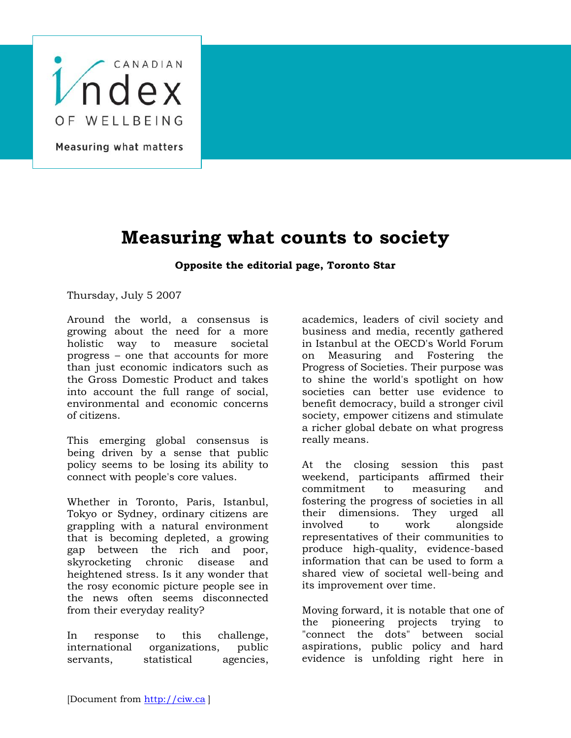

Measuring what matters

## **Measuring what counts to society**

## **Opposite the editorial page, Toronto Star**

Thursday, July 5 2007

Around the world, a consensus is growing about the need for a more holistic way to measure societal progress – one that accounts for more than just economic indicators such as the Gross Domestic Product and takes into account the full range of social, environmental and economic concerns of citizens.

This emerging global consensus is being driven by a sense that public policy seems to be losing its ability to connect with people's core values.

Whether in Toronto, Paris, Istanbul, Tokyo or Sydney, ordinary citizens are grappling with a natural environment that is becoming depleted, a growing gap between the rich and poor, skyrocketing chronic disease and heightened stress. Is it any wonder that the rosy economic picture people see in the news often seems disconnected from their everyday reality?

In response to this challenge, international organizations, public servants, statistical agencies, academics, leaders of civil society and business and media, recently gathered in Istanbul at the OECD's World Forum on Measuring and Fostering the Progress of Societies. Their purpose was to shine the world's spotlight on how societies can better use evidence to benefit democracy, build a stronger civil society, empower citizens and stimulate a richer global debate on what progress really means.

At the closing session this past weekend, participants affirmed their commitment to measuring and fostering the progress of societies in all their dimensions. They urged all involved to work alongside representatives of their communities to produce high-quality, evidence-based information that can be used to form a shared view of societal well-being and its improvement over time.

Moving forward, it is notable that one of the pioneering projects trying to "connect the dots" between social aspirations, public policy and hard evidence is unfolding right here in